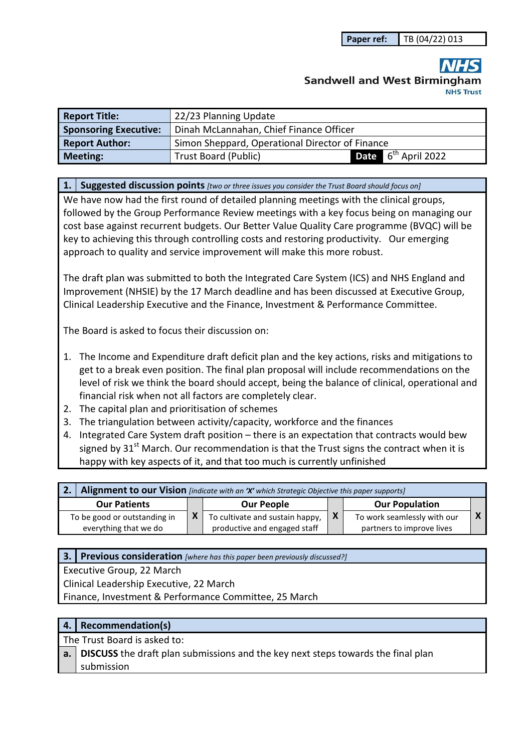# **Sandwell and West Birmingham**

| <b>Report Title:</b>         | 22/23 Planning Update                           |                                         |  |  |  |  |  |  |
|------------------------------|-------------------------------------------------|-----------------------------------------|--|--|--|--|--|--|
| <b>Sponsoring Executive:</b> |                                                 | Dinah McLannahan, Chief Finance Officer |  |  |  |  |  |  |
| <b>Report Author:</b>        | Simon Sheppard, Operational Director of Finance |                                         |  |  |  |  |  |  |
| <b>Meeting:</b>              | <b>Trust Board (Public)</b>                     | <b>Date</b> $6^{th}$ April 2022         |  |  |  |  |  |  |

#### **1. Suggested discussion points** *[two or three issues you consider the Trust Board should focus on]*

We have now had the first round of detailed planning meetings with the clinical groups, followed by the Group Performance Review meetings with a key focus being on managing our cost base against recurrent budgets. Our Better Value Quality Care programme (BVQC) will be key to achieving this through controlling costs and restoring productivity. Our emerging approach to quality and service improvement will make this more robust.

The draft plan was submitted to both the Integrated Care System (ICS) and NHS England and Improvement (NHSIE) by the 17 March deadline and has been discussed at Executive Group, Clinical Leadership Executive and the Finance, Investment & Performance Committee.

The Board is asked to focus their discussion on:

- 1. The Income and Expenditure draft deficit plan and the key actions, risks and mitigations to get to a break even position. The final plan proposal will include recommendations on the level of risk we think the board should accept, being the balance of clinical, operational and financial risk when not all factors are completely clear.
- 2. The capital plan and prioritisation of schemes
- 3. The triangulation between activity/capacity, workforce and the finances
- 4. Integrated Care System draft position there is an expectation that contracts would bew signed by  $31<sup>st</sup>$  March. Our recommendation is that the Trust signs the contract when it is happy with key aspects of it, and that too much is currently unfinished

| Alignment to our Vision [indicate with an 'X' which Strategic Objective this paper supports] |  |                                                                 |     |                                                          |  |  |  |  |
|----------------------------------------------------------------------------------------------|--|-----------------------------------------------------------------|-----|----------------------------------------------------------|--|--|--|--|
| <b>Our Patients</b>                                                                          |  | <b>Our People</b>                                               |     | <b>Our Population</b>                                    |  |  |  |  |
| To be good or outstanding in<br>everything that we do                                        |  | To cultivate and sustain happy,<br>productive and engaged staff | l X | To work seamlessly with our<br>partners to improve lives |  |  |  |  |

#### **3. Previous consideration** *[where has this paper been previously discussed?]*

Executive Group, 22 March

Clinical Leadership Executive, 22 March

Finance, Investment & Performance Committee, 25 March

## **4. Recommendation(s)**

The Trust Board is asked to:

**a. DISCUSS** the draft plan submissions and the key next steps towards the final plan submission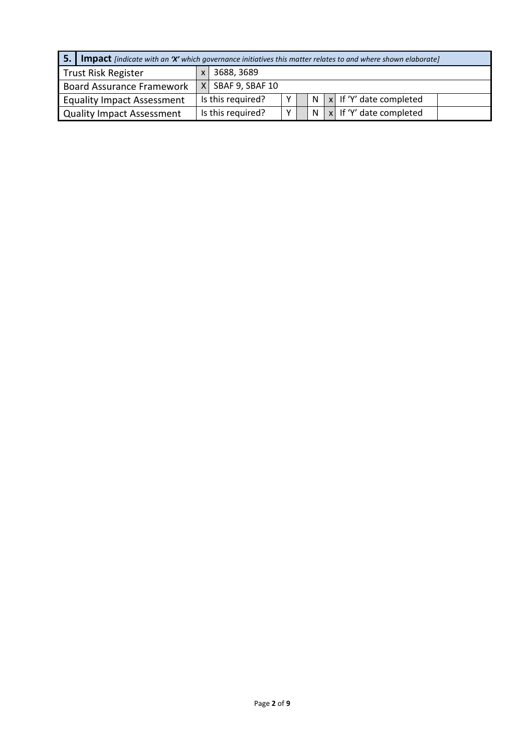| 5.<br><b>Impact</b> [indicate with an 'X' which governance initiatives this matter relates to and where shown elaborate] |                                                         |            |                   |   |  |              |  |                                       |  |
|--------------------------------------------------------------------------------------------------------------------------|---------------------------------------------------------|------------|-------------------|---|--|--------------|--|---------------------------------------|--|
|                                                                                                                          | Trust Risk Register                                     | 3688, 3689 |                   |   |  |              |  |                                       |  |
|                                                                                                                          | $X$ SBAF 9, SBAF 10<br><b>Board Assurance Framework</b> |            |                   |   |  |              |  |                                       |  |
|                                                                                                                          | <b>Equality Impact Assessment</b>                       |            | Is this required? | Y |  | N            |  | $\vert x \vert$ If 'Y' date completed |  |
|                                                                                                                          | <b>Quality Impact Assessment</b>                        |            | Is this required? | v |  | <sub>N</sub> |  | $\vert x \vert$ If 'Y' date completed |  |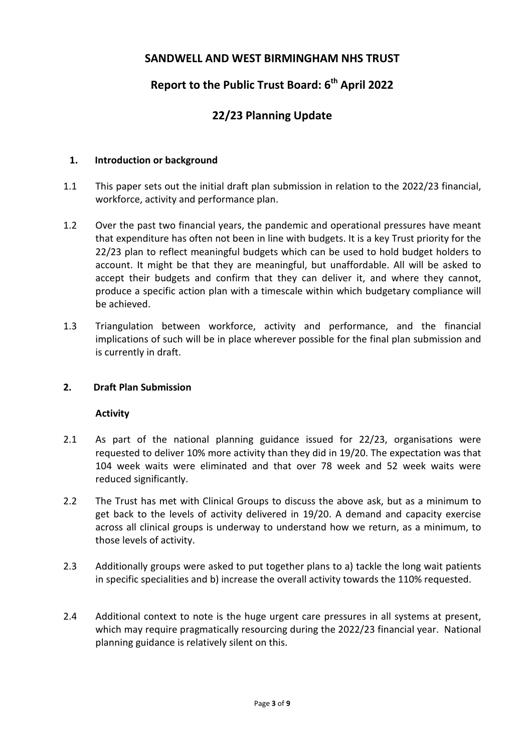# **SANDWELL AND WEST BIRMINGHAM NHS TRUST**

# **Report to the Public Trust Board: 6th April 2022**

# **22/23 Planning Update**

#### **1. Introduction or background**

- 1.1 This paper sets out the initial draft plan submission in relation to the 2022/23 financial, workforce, activity and performance plan.
- 1.2 Over the past two financial years, the pandemic and operational pressures have meant that expenditure has often not been in line with budgets. It is a key Trust priority for the 22/23 plan to reflect meaningful budgets which can be used to hold budget holders to account. It might be that they are meaningful, but unaffordable. All will be asked to accept their budgets and confirm that they can deliver it, and where they cannot, produce a specific action plan with a timescale within which budgetary compliance will be achieved.
- 1.3 Triangulation between workforce, activity and performance, and the financial implications of such will be in place wherever possible for the final plan submission and is currently in draft.

#### **2. Draft Plan Submission**

#### **Activity**

- 2.1 As part of the national planning guidance issued for 22/23, organisations were requested to deliver 10% more activity than they did in 19/20. The expectation was that 104 week waits were eliminated and that over 78 week and 52 week waits were reduced significantly.
- 2.2 The Trust has met with Clinical Groups to discuss the above ask, but as a minimum to get back to the levels of activity delivered in 19/20. A demand and capacity exercise across all clinical groups is underway to understand how we return, as a minimum, to those levels of activity.
- 2.3 Additionally groups were asked to put together plans to a) tackle the long wait patients in specific specialities and b) increase the overall activity towards the 110% requested.
- 2.4 Additional context to note is the huge urgent care pressures in all systems at present, which may require pragmatically resourcing during the 2022/23 financial year. National planning guidance is relatively silent on this.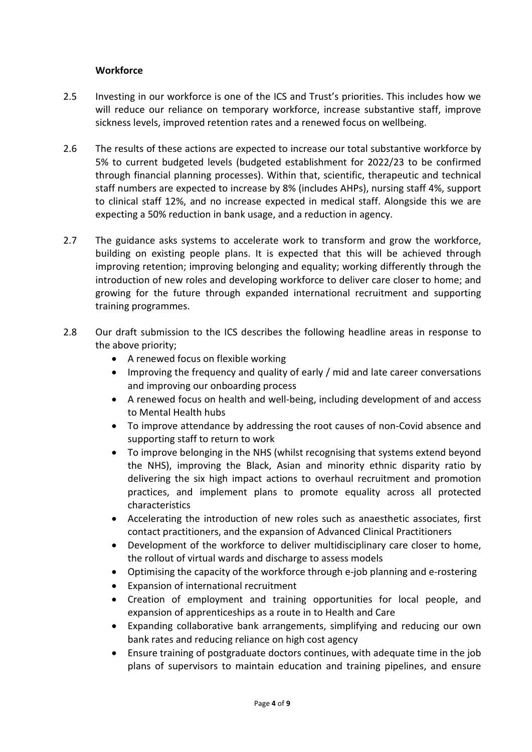#### **Workforce**

- 2.5 Investing in our workforce is one of the ICS and Trust's priorities. This includes how we will reduce our reliance on temporary workforce, increase substantive staff, improve sickness levels, improved retention rates and a renewed focus on wellbeing.
- 2.6 The results of these actions are expected to increase our total substantive workforce by 5% to current budgeted levels (budgeted establishment for 2022/23 to be confirmed through financial planning processes). Within that, scientific, therapeutic and technical staff numbers are expected to increase by 8% (includes AHPs), nursing staff 4%, support to clinical staff 12%, and no increase expected in medical staff. Alongside this we are expecting a 50% reduction in bank usage, and a reduction in agency.
- 2.7 The guidance asks systems to accelerate work to transform and grow the workforce, building on existing people plans. It is expected that this will be achieved through improving retention; improving belonging and equality; working differently through the introduction of new roles and developing workforce to deliver care closer to home; and growing for the future through expanded international recruitment and supporting training programmes.
- 2.8 Our draft submission to the ICS describes the following headline areas in response to the above priority;
	- A renewed focus on flexible working
	- Improving the frequency and quality of early / mid and late career conversations and improving our onboarding process
	- A renewed focus on health and well-being, including development of and access to Mental Health hubs
	- To improve attendance by addressing the root causes of non-Covid absence and supporting staff to return to work
	- To improve belonging in the NHS (whilst recognising that systems extend beyond the NHS), improving the Black, Asian and minority ethnic disparity ratio by delivering the six high impact actions to overhaul recruitment and promotion practices, and implement plans to promote equality across all protected characteristics
	- Accelerating the introduction of new roles such as anaesthetic associates, first contact practitioners, and the expansion of Advanced Clinical Practitioners
	- Development of the workforce to deliver multidisciplinary care closer to home, the rollout of virtual wards and discharge to assess models
	- Optimising the capacity of the workforce through e-job planning and e-rostering
	- Expansion of international recruitment
	- Creation of employment and training opportunities for local people, and expansion of apprenticeships as a route in to Health and Care
	- Expanding collaborative bank arrangements, simplifying and reducing our own bank rates and reducing reliance on high cost agency
	- Ensure training of postgraduate doctors continues, with adequate time in the job plans of supervisors to maintain education and training pipelines, and ensure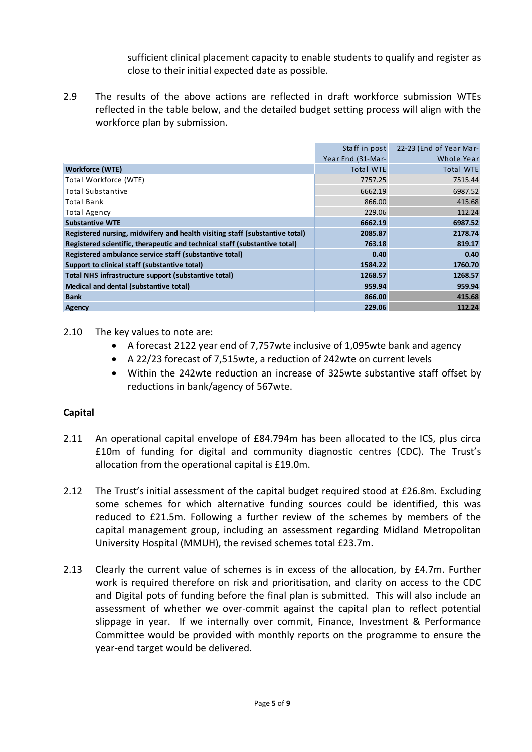sufficient clinical placement capacity to enable students to qualify and register as close to their initial expected date as possible.

2.9 The results of the above actions are reflected in draft workforce submission WTEs reflected in the table below, and the detailed budget setting process will align with the workforce plan by submission.

|                                                                             | Staff in post     | 22-23 (End of Year Mar- |
|-----------------------------------------------------------------------------|-------------------|-------------------------|
|                                                                             | Year End (31-Mar- | Whole Year              |
| Workforce (WTE)                                                             | <b>Total WTE</b>  | <b>Total WTE</b>        |
| Total Workforce (WTE)                                                       | 7757.25           | 7515.44                 |
| Total Substantive                                                           | 6662.19           | 6987.52                 |
| Total Bank                                                                  | 866.00            | 415.68                  |
| Total Agency                                                                | 229.06            | 112.24                  |
| <b>Substantive WTE</b>                                                      | 6662.19           | 6987.52                 |
| Registered nursing, midwifery and health visiting staff (substantive total) | 2085.87           | 2178.74                 |
| Registered scientific, therapeutic and technical staff (substantive total)  | 763.18            | 819.17                  |
| Registered ambulance service staff (substantive total)                      | 0.40              | 0.40                    |
| Support to clinical staff (substantive total)                               | 1584.22           | 1760.70                 |
| Total NHS infrastructure support (substantive total)                        | 1268.57           | 1268.57                 |
| Medical and dental (substantive total)                                      | 959.94            | 959.94                  |
| <b>Bank</b>                                                                 | 866.00            | 415.68                  |
| Agency                                                                      | 229.06            | 112.24                  |

2.10 The key values to note are:

- A forecast 2122 year end of 7,757wte inclusive of 1,095wte bank and agency
- A 22/23 forecast of 7,515wte, a reduction of 242wte on current levels
- Within the 242wte reduction an increase of 325wte substantive staff offset by reductions in bank/agency of 567wte.

#### **Capital**

- 2.11 An operational capital envelope of £84.794m has been allocated to the ICS, plus circa £10m of funding for digital and community diagnostic centres (CDC). The Trust's allocation from the operational capital is £19.0m.
- 2.12 The Trust's initial assessment of the capital budget required stood at £26.8m. Excluding some schemes for which alternative funding sources could be identified, this was reduced to £21.5m. Following a further review of the schemes by members of the capital management group, including an assessment regarding Midland Metropolitan University Hospital (MMUH), the revised schemes total £23.7m.
- 2.13 Clearly the current value of schemes is in excess of the allocation, by £4.7m. Further work is required therefore on risk and prioritisation, and clarity on access to the CDC and Digital pots of funding before the final plan is submitted. This will also include an assessment of whether we over-commit against the capital plan to reflect potential slippage in year. If we internally over commit, Finance, Investment & Performance Committee would be provided with monthly reports on the programme to ensure the year-end target would be delivered.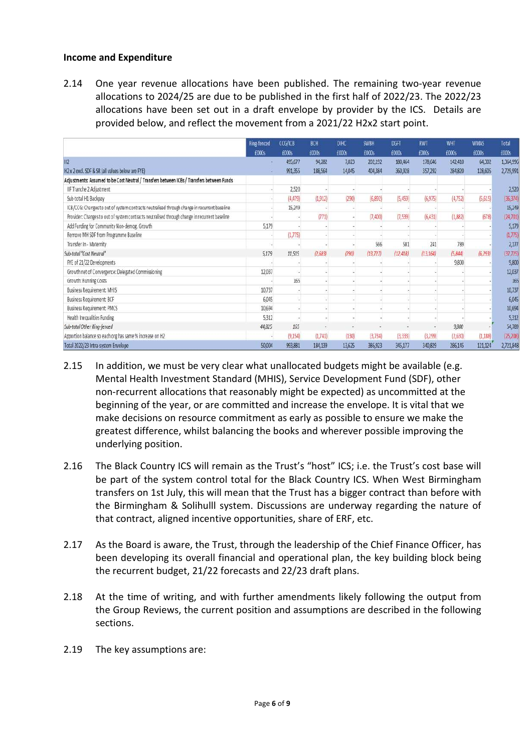#### **Income and Expenditure**

2.14 One year revenue allocations have been published. The remaining two-year revenue allocations to 2024/25 are due to be published in the first half of 2022/23. The 2022/23 allocations have been set out in a draft envelope by provider by the ICS. Details are provided below, and reflect the movement from a 2021/22 H2x2 start point.

|                                                                                               | Ring-fenced | CCG/ICB  | <b>BCH</b>   | <b>DIHC</b> | <b>SWBH</b> | <b>DGFT</b> | <b>RWT</b>   | WHT      | <b>WMAS</b> | Total     |
|-----------------------------------------------------------------------------------------------|-------------|----------|--------------|-------------|-------------|-------------|--------------|----------|-------------|-----------|
|                                                                                               | £000s       | £000s    | <b>E000s</b> | EOOGS       | £000s       | £000s       | <b>E000s</b> | £000s    | E000s       | £000s     |
| H2                                                                                            |             | 495,677  | 94,282       | 7,023       | 202,192     | 180,464     | 178,646      | 142,410  | 64,302      | 1,364,996 |
| H2 x 2 excl. SDF & SR (all values below are FYE)                                              |             | 991,355  | 188,564      | 14,045      | 404,384     | 360,928     | 357,292      | 284,820  | 128,605     | 2,729,991 |
| Adjustments: Assumed to be Cost Neutral / Transfers between ICBs / Transfers between Funds    |             |          |              |             |             |             |              |          |             |           |
| IIF Tranche 2 Adjustment                                                                      |             | 2,520    |              |             |             |             |              |          |             | 2,520     |
| Sub-total H1 Backpay                                                                          |             | (4, 479) | (1, 912)     | (290)       | (6,892)     | (5, 459)    | (6, 975)     | (4, 752) | (5,615)     | (36, 374) |
| ICB/CCG: Changes to out of system contracts neutralised through change in recurrent baseline  |             | 15,249   |              |             |             |             |              |          |             | 15,249    |
| Provider: Changes to out of system contracts neutralised through change in recurrent baseline |             |          | (771)        |             | (7,400)     | (7,539)     | (6, 431)     | (1,882)  | (678)       | [24,701]  |
| Add Funding for Community Non-demog. Growth                                                   | 5,179       |          |              |             |             |             |              |          |             | 5,179     |
| Remove MH SDF from Programme Baseline                                                         |             | (1,775)  |              |             |             |             |              |          |             | (1, 775)  |
| Transfer In - Maternity                                                                       |             |          |              |             | 566         | 581         | 241          | 789      |             | 2,17      |
| Sub-total "Cost Neutral"                                                                      | 5,179       | 11,515   | (2,683)      | (290)       | (13, 727)   | (12.418)    | (13, 164)    | (5,844)  | (6, 293)    | [37, 725] |
| FYE of 21/22 Developments                                                                     |             |          |              |             |             |             |              | 9,800    |             | 9,800     |
| Growth net of Convergence: Delegated Commissioning                                            | 12,037      |          |              |             |             |             |              |          |             | 12,037    |
| Growth: Running Costs                                                                         |             | 165      |              |             |             |             |              |          |             | 16!       |
| Business Requirement: MHIS                                                                    | 10,737      |          |              |             |             |             |              |          |             | 10,737    |
| <b>Business Requirement: BCF</b>                                                              | 6,045       |          |              |             |             |             |              |          |             | 6,045     |
| <b>Business Requirement: PMCS</b>                                                             | 10,694      |          |              |             |             |             |              |          |             | 10,694    |
| Health Inequalities Funding                                                                   | 5,312       |          |              |             |             |             |              |          |             | 5,317     |
| Sub-total Other Ring-fenced                                                                   | 44,825      | 165      |              |             |             |             |              | 9,800    |             | 54,789    |
| Apportion balance so each org has same % increase on H2                                       |             | (9, 154) | (1,741)      | (130)       | (3, 734)    | (3, 333)    | (3,299)      | (2,630)  | (1, 188)    | (25,208)  |
| Total 2022/23 Intra-system Envelope                                                           | 50,004      | 993,881  | 184,139      | 13,625      | 386,923     | 345,177     | 340,829      | 286,145  | 121,124     | 2,721,848 |

- 2.15 In addition, we must be very clear what unallocated budgets might be available (e.g. Mental Health Investment Standard (MHIS), Service Development Fund (SDF), other non-recurrent allocations that reasonably might be expected) as uncommitted at the beginning of the year, or are committed and increase the envelope. It is vital that we make decisions on resource commitment as early as possible to ensure we make the greatest difference, whilst balancing the books and wherever possible improving the underlying position.
- 2.16 The Black Country ICS will remain as the Trust's "host" ICS; i.e. the Trust's cost base will be part of the system control total for the Black Country ICS. When West Birmingham transfers on 1st July, this will mean that the Trust has a bigger contract than before with the Birmingham & Solihulll system. Discussions are underway regarding the nature of that contract, aligned incentive opportunities, share of ERF, etc.
- 2.17 As the Board is aware, the Trust, through the leadership of the Chief Finance Officer, has been developing its overall financial and operational plan, the key building block being the recurrent budget, 21/22 forecasts and 22/23 draft plans.
- 2.18 At the time of writing, and with further amendments likely following the output from the Group Reviews, the current position and assumptions are described in the following sections.
- 2.19 The key assumptions are: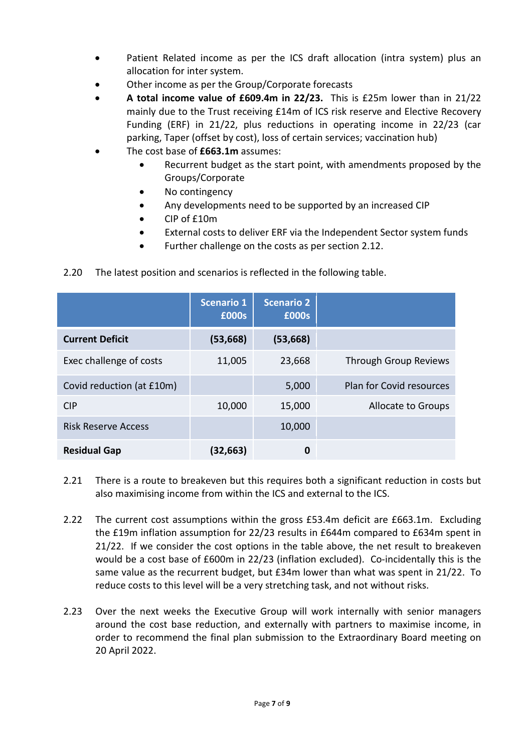- Patient Related income as per the ICS draft allocation (intra system) plus an allocation for inter system.
- Other income as per the Group/Corporate forecasts
- **A total income value of £609.4m in 22/23.** This is £25m lower than in 21/22 mainly due to the Trust receiving £14m of ICS risk reserve and Elective Recovery Funding (ERF) in 21/22, plus reductions in operating income in 22/23 (car parking, Taper (offset by cost), loss of certain services; vaccination hub)
- The cost base of **£663.1m** assumes:
	- Recurrent budget as the start point, with amendments proposed by the Groups/Corporate
	- No contingency
	- Any developments need to be supported by an increased CIP
	- CIP of £10m
	- External costs to deliver ERF via the Independent Sector system funds
	- Further challenge on the costs as per section 2.12.
- 2.20 The latest position and scenarios is reflected in the following table.

|                            | <b>Scenario 1</b><br>£000s | <b>Scenario 2</b><br>£000s |                                 |
|----------------------------|----------------------------|----------------------------|---------------------------------|
| <b>Current Deficit</b>     | (53, 668)                  | (53, 668)                  |                                 |
| Exec challenge of costs    | 11,005                     | 23,668                     | Through Group Reviews           |
| Covid reduction (at £10m)  |                            | 5,000                      | <b>Plan for Covid resources</b> |
| <b>CIP</b>                 | 10,000                     | 15,000                     | Allocate to Groups              |
| <b>Risk Reserve Access</b> |                            | 10,000                     |                                 |
| <b>Residual Gap</b>        | (32,663)                   | 0                          |                                 |

- 2.21 There is a route to breakeven but this requires both a significant reduction in costs but also maximising income from within the ICS and external to the ICS.
- 2.22 The current cost assumptions within the gross £53.4m deficit are £663.1m. Excluding the £19m inflation assumption for 22/23 results in £644m compared to £634m spent in 21/22. If we consider the cost options in the table above, the net result to breakeven would be a cost base of £600m in 22/23 (inflation excluded). Co-incidentally this is the same value as the recurrent budget, but £34m lower than what was spent in 21/22. To reduce costs to this level will be a very stretching task, and not without risks.
- 2.23 Over the next weeks the Executive Group will work internally with senior managers around the cost base reduction, and externally with partners to maximise income, in order to recommend the final plan submission to the Extraordinary Board meeting on 20 April 2022.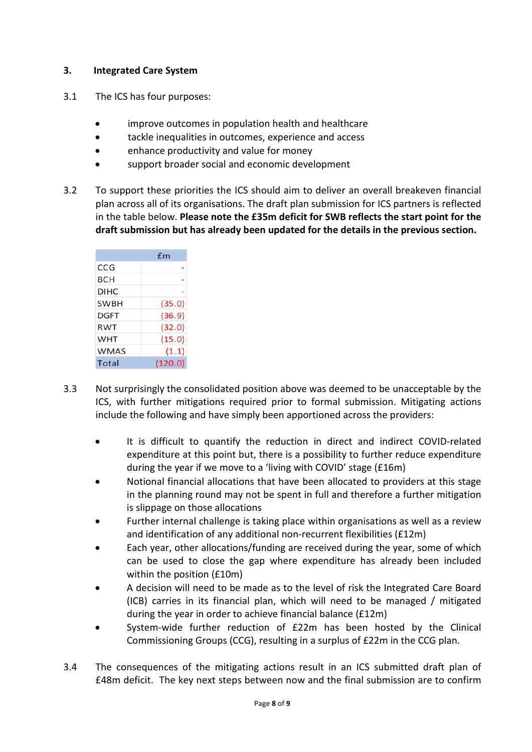### **3. Integrated Care System**

- 3.1 The ICS has four purposes:
	- improve outcomes in population health and healthcare
	- tackle inequalities in outcomes, experience and access
	- enhance productivity and value for money
	- support broader social and economic development
- 3.2 To support these priorities the ICS should aim to deliver an overall breakeven financial plan across all of its organisations. The draft plan submission for ICS partners is reflected in the table below. **Please note the £35m deficit for SWB reflects the start point for the draft submission but has already been updated for the details in the previous section.**

|             | f <sub>m</sub> |
|-------------|----------------|
| CCG         |                |
| BCH         |                |
| <b>DIHC</b> |                |
| <b>SWBH</b> | (35.0)         |
| <b>DGFT</b> | (36.9)         |
| RWT         | (32.0)         |
| <b>WHT</b>  | (15.0)         |
| <b>WMAS</b> | (1.1)          |
| Total       | (120.0)        |

- 3.3 Not surprisingly the consolidated position above was deemed to be unacceptable by the ICS, with further mitigations required prior to formal submission. Mitigating actions include the following and have simply been apportioned across the providers:
	- It is difficult to quantify the reduction in direct and indirect COVID-related expenditure at this point but, there is a possibility to further reduce expenditure during the year if we move to a 'living with COVID' stage (£16m)
	- Notional financial allocations that have been allocated to providers at this stage in the planning round may not be spent in full and therefore a further mitigation is slippage on those allocations
	- Further internal challenge is taking place within organisations as well as a review and identification of any additional non-recurrent flexibilities (£12m)
	- Each year, other allocations/funding are received during the year, some of which can be used to close the gap where expenditure has already been included within the position (£10m)
	- A decision will need to be made as to the level of risk the Integrated Care Board (ICB) carries in its financial plan, which will need to be managed / mitigated during the year in order to achieve financial balance (£12m)
	- System-wide further reduction of £22m has been hosted by the Clinical Commissioning Groups (CCG), resulting in a surplus of £22m in the CCG plan.
- 3.4 The consequences of the mitigating actions result in an ICS submitted draft plan of £48m deficit. The key next steps between now and the final submission are to confirm